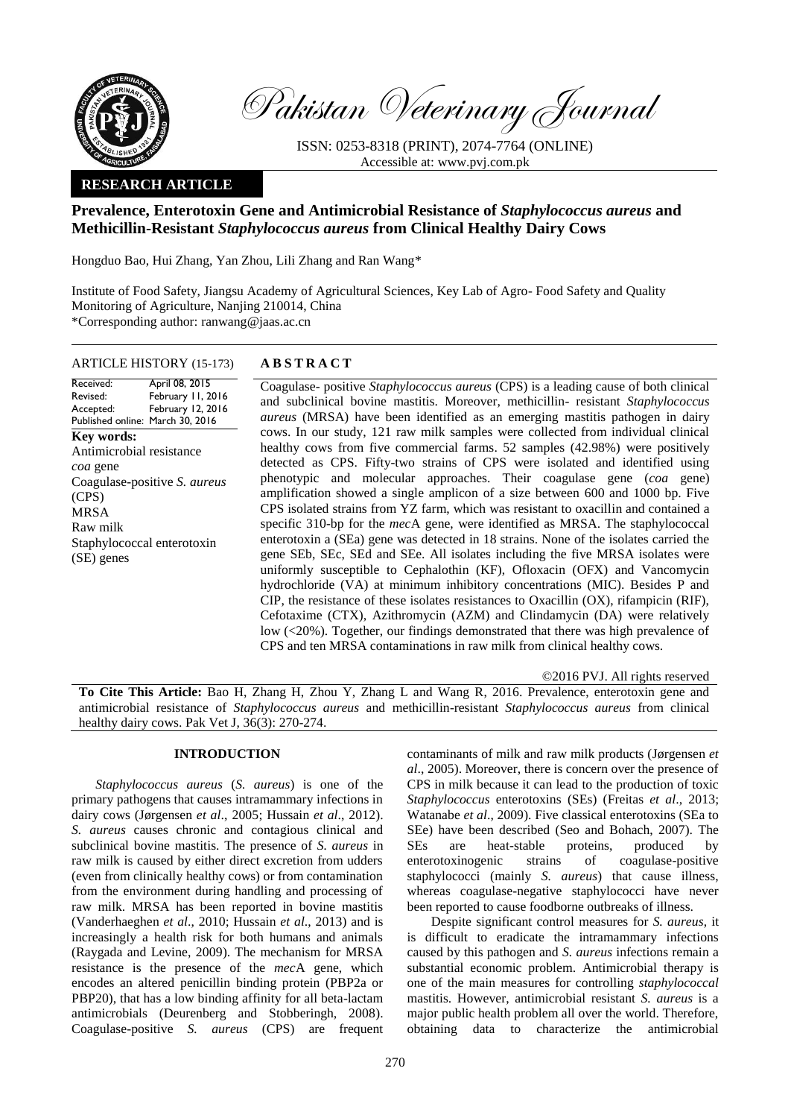

Pakistan Veterinary Journal

ISSN: 0253-8318 (PRINT), 2074-7764 (ONLINE) Accessible at: [www.pvj.com.pk](http://www.pvj.com.pk/)

## **RESEARCH ARTICLE**

# **Prevalence, Enterotoxin Gene and Antimicrobial Resistance of** *Staphylococcus aureus* **and Methicillin-Resistant** *Staphylococcus aureus* **from Clinical Healthy Dairy Cows**

Hongduo Bao, Hui Zhang, Yan Zhou, Lili Zhang and Ran Wang\*

Institute of Food Safety, Jiangsu Academy of Agricultural Sciences, Key Lab of Agro- Food Safety and Quality Monitoring of Agriculture, Nanjing 210014, China \*Corresponding author: ranwang@jaas.ac.cn

#### ARTICLE HISTORY (15-173) **A B S T R A C T**

Received: Revised: Accepted: Published online: March 30, 2016 April 08, 2015 February 11, 2016 February 12, 2016

**Key words:**  Antimicrobial resistance *coa* gene Coagulase-positive *S. aureus*  (CPS) MRSA Raw milk Staphylococcal enterotoxin (SE) genes

Coagulase- positive *Staphylococcus aureus* (CPS) is a leading cause of both clinical and subclinical bovine mastitis. Moreover, methicillin- resistant *Staphylococcus aureus* (MRSA) have been identified as an emerging mastitis pathogen in dairy cows. In our study, 121 raw milk samples were collected from individual clinical healthy cows from five commercial farms. 52 samples (42.98%) were positively detected as CPS. Fifty-two strains of CPS were isolated and identified using phenotypic and molecular approaches. Their coagulase gene (*coa* gene) amplification showed a single amplicon of a size between 600 and 1000 bp. Five CPS isolated strains from YZ farm, which was resistant to oxacillin and contained a specific 310-bp for the *mec*A gene, were identified as MRSA. The staphylococcal enterotoxin a (SEa) gene was detected in 18 strains. None of the isolates carried the gene SEb, SEc, SEd and SEe. All isolates including the five MRSA isolates were uniformly susceptible to Cephalothin (KF), Ofloxacin (OFX) and Vancomycin hydrochloride (VA) at minimum inhibitory concentrations (MIC). Besides P and CIP, the resistance of these isolates resistances to Oxacillin (OX), rifampicin (RIF), Cefotaxime (CTX), Azithromycin (AZM) and Clindamycin (DA) were relatively low (<20%). Together, our findings demonstrated that there was high prevalence of CPS and ten MRSA contaminations in raw milk from clinical healthy cows.

©2016 PVJ. All rights reserved

**To Cite This Article:** Bao H, Zhang H, Zhou Y, Zhang L and Wang R, 2016. Prevalence, enterotoxin gene and antimicrobial resistance of *Staphylococcus aureus* and methicillin-resistant *Staphylococcus aureus* from clinical healthy dairy cows. Pak Vet J, 36(3): 270-274.

#### **INTRODUCTION**

*Staphylococcus aureus* (*S. aureus*) is one of the primary pathogens that causes intramammary infections in dairy cows (Jørgensen *et al*., 2005; Hussain *et al*., 2012). *S. aureus* causes chronic and contagious clinical and subclinical bovine mastitis. The presence of *S. aureus* in raw milk is caused by either direct excretion from udders (even from clinically healthy cows) or from contamination from the environment during handling and processing of raw milk. MRSA has been reported in bovine mastitis (Vanderhaeghen *et al*., 2010; Hussain *et al*., 2013) and is increasingly a health risk for both humans and animals (Raygada and Levine, 2009). The mechanism for MRSA resistance is the presence of the *mec*A gene, which encodes an altered penicillin binding protein (PBP2a or PBP20), that has a low binding affinity for all beta-lactam antimicrobials (Deurenberg and Stobberingh, 2008). Coagulase-positive *S. aureus* (CPS) are frequent contaminants of milk and raw milk products (Jørgensen *et al*., 2005). Moreover, there is concern over the presence of CPS in milk because it can lead to the production of toxic *Staphylococcus* enterotoxins (SEs) (Freitas *et al*., 2013; Watanabe *et al*., 2009). Five classical enterotoxins (SEa to SEe) have been described (Seo and Bohach, 2007). The SEs are heat-stable proteins, produced by enterotoxinogenic strains of coagulase-positive staphylococci (mainly *S. aureus*) that cause illness, whereas coagulase-negative staphylococci have never been reported to cause foodborne outbreaks of illness.

Despite significant control measures for *S. aureus*, it is difficult to eradicate the intramammary infections caused by this pathogen and *S. aureus* infections remain a substantial economic problem. Antimicrobial therapy is one of the main measures for controlling *staphylococcal* mastitis. However, antimicrobial resistant *S. aureus* is a major public health problem all over the world. Therefore, obtaining data to characterize the antimicrobial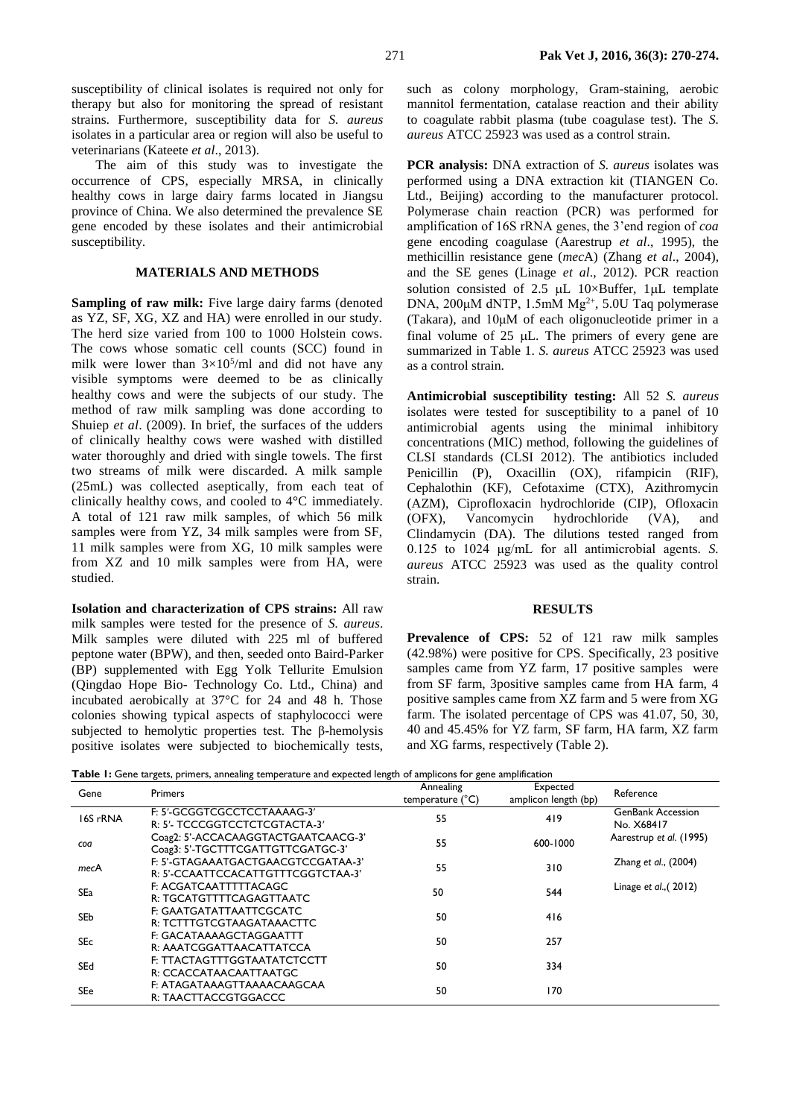susceptibility of clinical isolates is required not only for therapy but also for monitoring the spread of resistant strains. Furthermore, susceptibility data for *S. aureus* isolates in a particular area or region will also be useful to veterinarians (Kateete *et al*., 2013).

The aim of this study was to investigate the occurrence of CPS, especially MRSA, in clinically healthy cows in large dairy farms located in Jiangsu province of China. We also determined the prevalence SE gene encoded by these isolates and their antimicrobial susceptibility.

### **MATERIALS AND METHODS**

Sampling of raw milk: Five large dairy farms (denoted as YZ, SF, XG, XZ and HA) were enrolled in our study. The herd size varied from 100 to 1000 Holstein cows. The cows whose somatic cell counts (SCC) found in milk were lower than  $3 \times 10^{5}$ /ml and did not have any visible symptoms were deemed to be as clinically healthy cows and were the subjects of our study. The method of raw milk sampling was done according to Shuiep *et al*. (2009). In brief, the surfaces of the udders of clinically healthy cows were washed with distilled water thoroughly and dried with single towels. The first two streams of milk were discarded. A milk sample (25mL) was collected aseptically, from each teat of clinically healthy cows, and cooled to 4°C immediately. A total of 121 raw milk samples, of which 56 milk samples were from YZ, 34 milk samples were from SF, 11 milk samples were from XG, 10 milk samples were from XZ and 10 milk samples were from HA, were studied.

**Isolation and characterization of CPS strains:** All raw milk samples were tested for the presence of *S. aureus*. Milk samples were diluted with 225 ml of buffered peptone water (BPW), and then, seeded onto Baird-Parker (BP) supplemented with Egg Yolk Tellurite Emulsion (Qingdao Hope Bio- Technology Co. Ltd., China) and incubated aerobically at 37°C for 24 and 48 h. Those colonies showing typical aspects of staphylococci were subjected to hemolytic properties test. The β-hemolysis positive isolates were subjected to biochemically tests,

such as colony morphology, Gram-staining, aerobic mannitol fermentation, catalase reaction and their ability to coagulate rabbit plasma (tube coagulase test). The *S. aureus* ATCC 25923 was used as a control strain.

**PCR analysis:** DNA extraction of *S. aureus* isolates was performed using a DNA extraction kit (TIANGEN Co. Ltd., Beijing) according to the manufacturer protocol. Polymerase chain reaction (PCR) was performed for amplification of 16S rRNA genes, the 3'end region of *coa* gene encoding coagulase (Aarestrup *et al*., 1995), the methicillin resistance gene (*mec*A) (Zhang *et al*., 2004), and the SE genes (Linage *et al*., 2012). PCR reaction solution consisted of 2.5  $\mu$ L 10×Buffer, 1 $\mu$ L template DNA,  $200\mu$ M dNTP, 1.5mM Mg<sup>2+</sup>, 5.0U Taq polymerase (Takara), and 10μM of each oligonucleotide primer in a final volume of  $25$   $\mu$ . The primers of every gene are summarized in Table 1. *S. aureus* ATCC 25923 was used as a control strain.

**Antimicrobial susceptibility testing:** All 52 *S. aureus* isolates were tested for susceptibility to a panel of 10 antimicrobial agents using the minimal inhibitory concentrations (MIC) method, following the guidelines of CLSI standards (CLSI 2012). The antibiotics included Penicillin (P), Oxacillin (OX), rifampicin (RIF), Cephalothin (KF), Cefotaxime (CTX), Azithromycin (AZM), Ciprofloxacin hydrochloride (CIP), Ofloxacin (OFX), Vancomycin hydrochloride (VA), and Clindamycin (DA). The dilutions tested ranged from 0.125 to 1024 μg/mL for all antimicrobial agents. *S. aureus* ATCC 25923 was used as the quality control strain.

#### **RESULTS**

Prevalence of CPS: 52 of 121 raw milk samples (42.98%) were positive for CPS. Specifically, 23 positive samples came from YZ farm, 17 positive samples were from SF farm, 3positive samples came from HA farm, 4 positive samples came from XZ farm and 5 were from XG farm. The isolated percentage of CPS was 41.07, 50, 30, 40 and 45.45% for YZ farm, SF farm, HA farm, XZ farm and XG farms, respectively (Table 2).

**Table 1:** Gene targets, primers, annealing temperature and expected length of amplicons for gene amplification

| Gene       | <b>Primers</b>                                                           | Annealing<br>temperature (°C) | Expected<br>amplicon length (bp) | Reference                              |
|------------|--------------------------------------------------------------------------|-------------------------------|----------------------------------|----------------------------------------|
| 16S rRNA   | F: 5'-GCGGTCGCCTCCTAAAAG-3'<br>R: 5'- TCCCGGTCCTCTCGTACTA-3'             | 55                            | 419                              | <b>GenBank Accession</b><br>No. X68417 |
| coa        | Coag2: 5'-ACCACAAGGTACTGAATCAACG-3'<br>Coag3: 5'-TGCTTTCGATTGTTCGATGC-3' | 55                            | 600-1000                         | Aarestrup et al. (1995)                |
| mecA       | F: 5'-GTAGAAATGACTGAACGTCCGATAA-3'<br>R: 5'-CCAATTCCACATTGTTTCGGTCTAA-3' | 55                            | 310                              | Zhang et al., (2004)                   |
| SEa        | F: ACGATCAATTTTTACAGC<br>R: TGCATGTTTTCAGAGTTAATC                        | 50                            | 544                              | Linage et $al.,(2012)$                 |
| SEb        | F: GAATGATATTAATTCGCATC<br>R: TCTTTGTCGTAAGATAAACTTC                     | 50                            | 416                              |                                        |
| <b>SEc</b> | F: GACATAAAAGCTAGGAATTT<br>R: AAATCGGATTAACATTATCCA                      | 50                            | 257                              |                                        |
| SEd        | F: TTACTAGTTTGGTAATATCTCCTT<br>R: CCACCATAACAATTAATGC                    | 50                            | 334                              |                                        |
| SEe        | F: ATAGATAAAGTTAAAACAAGCAA<br>R: TAACTTACCGTGGACCC                       | 50                            | 170                              |                                        |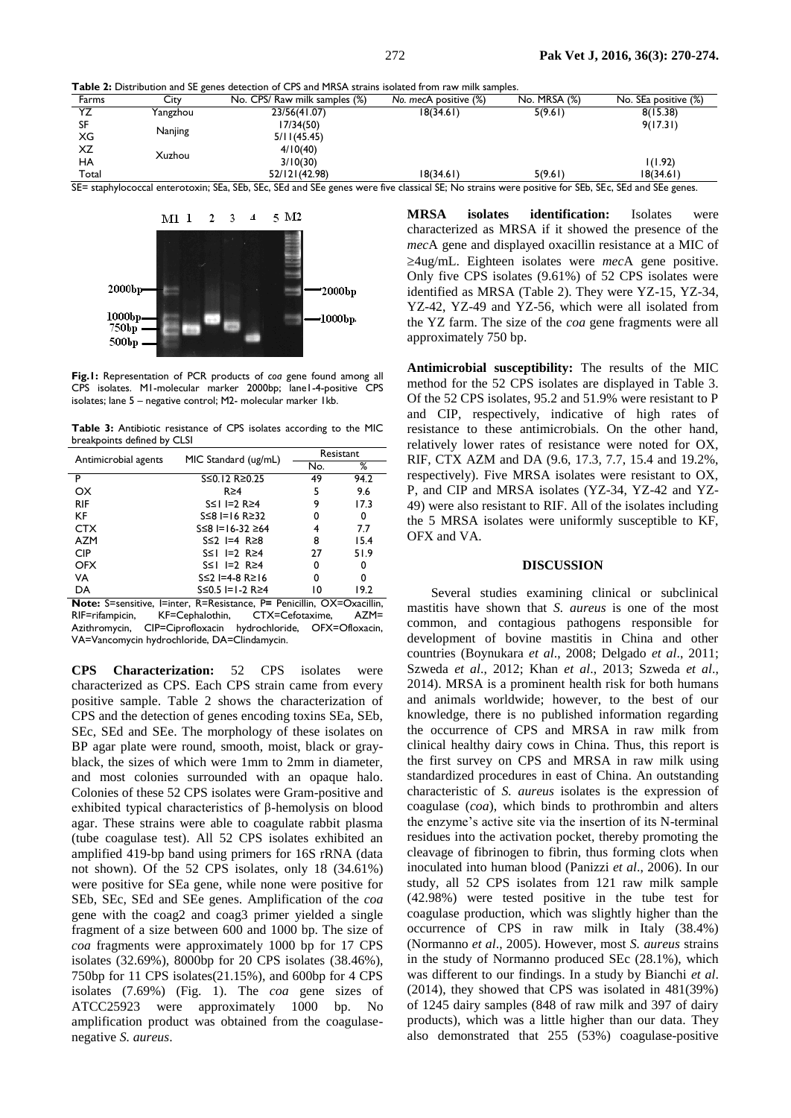**Table 2:** Distribution and SE genes detection of CPS and MRSA strains isolated from raw milk samples.

| Farms     | . .<br>City | No. CPS/ Raw milk samples (%)       | No. mecA positive (%)       | No. MRSA (%)           | No. SEa positive (%) |
|-----------|-------------|-------------------------------------|-----------------------------|------------------------|----------------------|
| YZ        | Yangzhou    | 23/56(41.07)                        | 18(34.61)                   | 5(9.61)                | 8(15.38)             |
| SF        |             | 17/34(50)                           |                             |                        | 9(17.31)             |
| XG        | Nanjing     | 5/11(45.45)                         |                             |                        |                      |
| XZ        | Xuzhou      | 4/10(40)                            |                             |                        |                      |
| <b>HA</b> |             | 3/10(30)                            |                             |                        | 1(1.92)              |
| Total     |             | 52/121(42.98)                       | 18(34.61)                   | 5(9.61)                | 18(34.61)            |
| $-$       |             | $-$<br>$\sim$<br>$-$<br>$-1$<br>$-$ | $\sim$ $\sim$ $\sim$ $\sim$ | $-$<br>$\cdot$ $\cdot$ | $-$<br>$\sim$<br>$-$ |

SE= staphylococcal enterotoxin; SEa, SEb, SEc, SEd and SEe genes were five classical SE; No strains were positive for SEb, SEc, SEd and SEe genes.



**Fig.1:** Representation of PCR products of *coa* gene found among all CPS isolates. M1-molecular marker 2000bp; lane1-4-positive CPS isolates; lane 5 – negative control; M2- molecular marker 1kb.

**Table 3:** Antibiotic resistance of CPS isolates according to the MIC breakpoints defined by CLSI

| Antimicrobial agents | MIC Standard (ug/mL)           | Resistant |      |
|----------------------|--------------------------------|-----------|------|
|                      |                                | No.       | %    |
| P                    | S≤0.12 R≥0.25                  | 49        | 94.2 |
| OX.                  | $R \geq 4$                     | 5         | 9.6  |
| <b>RIF</b>           | S≤I I=2 R≥4                    | 9         | 17.3 |
| KF                   | S≤8 I=16 R≥32                  | 0         | 0    |
| <b>CTX</b>           | $S \leq 8$ I = 16-32 $\geq 64$ | 4         | 7.7  |
| AZM                  | $S \leq 2$ 1=4 R $\geq 8$      | 8         | 15.4 |
| <b>CIP</b>           | $S \leq I$ $I = 2$ $R \geq 4$  | 27        | 51.9 |
| <b>OFX</b>           | $S \leq I$ $I = 2$ $R \geq 4$  | 0         | 0    |
| VA                   | S≤2 I=4-8 R≥16                 | 0         | 0    |
| DA                   | $S≤0.5$ I=1-2 R≥4              | 10        | 19.2 |

**Note:** S=sensitive, I=inter, R=Resistance, P= Penicillin, OX=Oxacillin, RIF=rifampicin, KF=Cephalothin, CTX=Cefotaxime, AZM= RIF=rifampicin, KF=Cephalothin, CTX=Cefotaxime, AZM= Azithromycin, CIP=Ciprofloxacin hydrochloride, OFX=Ofloxacin, VA=Vancomycin hydrochloride, DA=Clindamycin.

**CPS Characterization:** 52 CPS isolates were characterized as CPS. Each CPS strain came from every positive sample. Table 2 shows the characterization of CPS and the detection of genes encoding toxins SEa, SEb, SEc, SEd and SEe. The morphology of these isolates on BP agar plate were round, smooth, moist, black or grayblack, the sizes of which were 1mm to 2mm in diameter, and most colonies surrounded with an opaque halo. Colonies of these 52 CPS isolates were Gram-positive and exhibited typical characteristics of β-hemolysis on blood agar. These strains were able to coagulate rabbit plasma (tube coagulase test). All 52 CPS isolates exhibited an amplified 419-bp band using primers for 16S rRNA (data not shown). Of the 52 CPS isolates, only 18 (34.61%) were positive for SEa gene, while none were positive for SEb, SEc, SEd and SEe genes. Amplification of the *coa* gene with the coag2 and coag3 primer yielded a single fragment of a size between 600 and 1000 bp. The size of *coa* fragments were approximately 1000 bp for 17 CPS isolates (32.69%), 8000bp for 20 CPS isolates (38.46%), 750bp for 11 CPS isolates(21.15%), and 600bp for 4 CPS isolates (7.69%) (Fig. 1). The *coa* gene sizes of ATCC25923 were approximately 1000 bp. No amplification product was obtained from the coagulasenegative *S. aureus*.

**MRSA isolates identification:** Isolates were characterized as MRSA if it showed the presence of the *mec*A gene and displayed oxacillin resistance at a MIC of 4ug/mL. Eighteen isolates were *mec*A gene positive. Only five CPS isolates (9.61%) of 52 CPS isolates were identified as MRSA (Table 2). They were YZ-15, YZ-34, YZ-42, YZ-49 and YZ-56, which were all isolated from the YZ farm. The size of the *coa* gene fragments were all approximately 750 bp.

**Antimicrobial susceptibility:** The results of the MIC method for the 52 CPS isolates are displayed in Table 3. Of the 52 CPS isolates, 95.2 and 51.9% were resistant to P and CIP, respectively, indicative of high rates of resistance to these antimicrobials. On the other hand, relatively lower rates of resistance were noted for OX, RIF, CTX AZM and DA (9.6, 17.3, 7.7, 15.4 and 19.2%, respectively). Five MRSA isolates were resistant to OX, P, and CIP and MRSA isolates (YZ-34, YZ-42 and YZ-49) were also resistant to RIF. All of the isolates including the 5 MRSA isolates were uniformly susceptible to KF, OFX and VA.

#### **DISCUSSION**

Several studies examining clinical or subclinical mastitis have shown that *S. aureus* is one of the most common, and contagious pathogens responsible for development of bovine mastitis in China and other countries (Boynukara *et al*., 2008; Delgado *et al*., 2011; Szweda *et al*., 2012; Khan *et al*., 2013; Szweda *et al*., 2014). MRSA is a prominent health risk for both humans and animals worldwide; however, to the best of our knowledge, there is no published information regarding the occurrence of CPS and MRSA in raw milk from clinical healthy dairy cows in China. Thus, this report is the first survey on CPS and MRSA in raw milk using standardized procedures in east of China. An outstanding characteristic of *S. aureus* isolates is the expression of coagulase (*coa*), which binds to prothrombin and alters the enzyme's active site via the insertion of its N-terminal residues into the activation pocket, thereby promoting the cleavage of fibrinogen to fibrin, thus forming clots when inoculated into human blood (Panizzi *et al*., 2006). In our study, all 52 CPS isolates from 121 raw milk sample (42.98%) were tested positive in the tube test for coagulase production, which was slightly higher than the occurrence of CPS in raw milk in Italy (38.4%) (Normanno *et al*., 2005). However, most *S. aureus* strains in the study of Normanno produced SEc (28.1%), which was different to our findings. In a study by Bianchi *et al*. (2014), they showed that CPS was isolated in 481(39%) of 1245 dairy samples (848 of raw milk and 397 of dairy products), which was a little higher than our data. They also demonstrated that 255 (53%) coagulase-positive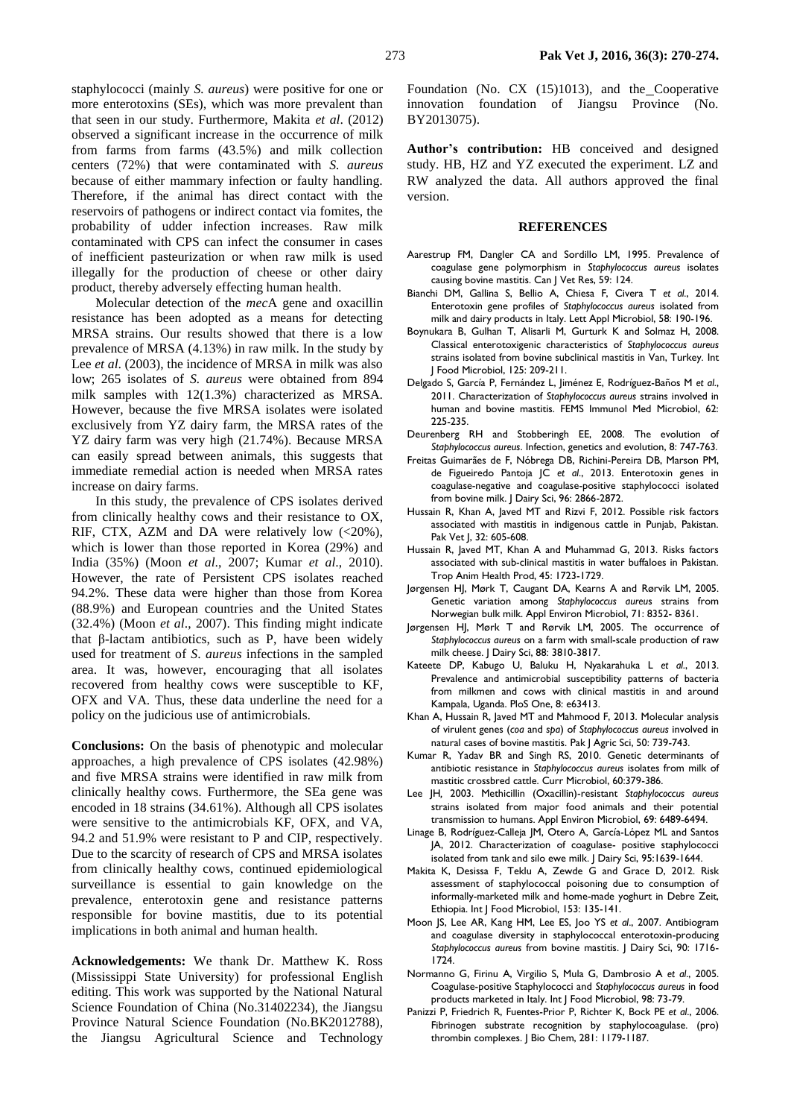staphylococci (mainly *S. aureus*) were positive for one or more enterotoxins (SEs), which was more prevalent than that seen in our study. Furthermore, Makita *et al*. (2012) observed a significant increase in the occurrence of milk from farms from farms (43.5%) and milk collection centers (72%) that were contaminated with *S. aureus* because of either mammary infection or faulty handling. Therefore, if the animal has direct contact with the reservoirs of pathogens or indirect contact via fomites, the probability of udder infection increases. Raw milk contaminated with CPS can infect the consumer in cases of inefficient pasteurization or when raw milk is used illegally for the production of cheese or other dairy product, thereby adversely effecting human health.

Molecular detection of the *mec*A gene and oxacillin resistance has been adopted as a means for detecting MRSA strains. Our results showed that there is a low prevalence of MRSA (4.13%) in raw milk. In the study by Lee *et al*. (2003), the incidence of MRSA in milk was also low; 265 isolates of *S. aureus* were obtained from 894 milk samples with 12(1.3%) characterized as MRSA. However, because the five MRSA isolates were isolated exclusively from YZ dairy farm, the MRSA rates of the YZ dairy farm was very high (21.74%). Because MRSA can easily spread between animals, this suggests that immediate remedial action is needed when MRSA rates increase on dairy farms.

In this study, the prevalence of CPS isolates derived from clinically healthy cows and their resistance to OX, RIF, CTX, AZM and DA were relatively low  $\langle$  <20%), which is lower than those reported in Korea (29%) and India (35%) (Moon *et al*., 2007; Kumar *et al*., 2010). However, the rate of Persistent CPS isolates reached 94.2%. These data were higher than those from Korea (88.9%) and European countries and the United States (32.4%) (Moon *et al*., 2007). This finding might indicate that β-lactam antibiotics, such as P, have been widely used for treatment of *S*. *aureus* infections in the sampled area. It was, however, encouraging that all isolates recovered from healthy cows were susceptible to KF, OFX and VA. Thus, these data underline the need for a policy on the judicious use of antimicrobials.

**Conclusions:** On the basis of phenotypic and molecular approaches, a high prevalence of CPS isolates (42.98%) and five MRSA strains were identified in raw milk from clinically healthy cows. Furthermore, the SEa gene was encoded in 18 strains (34.61%). Although all CPS isolates were sensitive to the antimicrobials KF, OFX, and VA, 94.2 and 51.9% were resistant to P and CIP, respectively. Due to the scarcity of research of CPS and MRSA isolates from clinically healthy cows, continued epidemiological surveillance is essential to gain knowledge on the prevalence, enterotoxin gene and resistance patterns responsible for bovine mastitis, due to its potential implications in both animal and human health.

**Acknowledgements:** We thank Dr. Matthew K. Ross (Mississippi State University) for professional English editing. This work was supported by the National Natural Science Foundation of China (No.31402234), the Jiangsu Province Natural Science Foundation (No.BK2012788), the Jiangsu Agricultural Science and Technology

Foundation (No. CX (15)1013), and the Cooperative innovation foundation of Jiangsu Province (No. BY2013075).

**Author's contribution:** HB conceived and designed study. HB, HZ and YZ executed the experiment. LZ and RW analyzed the data. All authors approved the final version.

### **REFERENCES**

- Aarestrup FM, Dangler CA and Sordillo LM, 1995. Prevalence of coagulase gene polymorphism in *Staphylococcus aureus* isolates causing bovine mastitis. Can J Vet Res, 59: 124.
- Bianchi DM, Gallina S, Bellio A, Chiesa F, Civera T *et al*., 2014. Enterotoxin gene profiles of *Staphylococcus aureus* isolated from milk and dairy products in Italy. Lett Appl Microbiol, 58: 190-196.
- Boynukara B, Gulhan T, Alisarli M, Gurturk K and Solmaz H, 2008. Classical enterotoxigenic characteristics of *Staphylococcus aureus* strains isolated from bovine subclinical mastitis in Van, Turkey. Int J Food Microbiol, 125: 209-211.
- Delgado S, García P, Fernández L, Jiménez E, Rodríguez-Baños M *et al*., 2011. Characterization of *Staphylococcus aureus* strains involved in human and bovine mastitis. FEMS Immunol Med Microbiol, 62: 225-235.
- Deurenberg RH and Stobberingh EE, 2008. The evolution of *Staphylococcus aureus*. Infection, genetics and evolution, 8: 747-763.
- Freitas Guimarães de F, Nóbrega DB, Richini-Pereira DB, Marson PM, de Figueiredo Pantoja JC *et al*., 2013. Enterotoxin genes in coagulase-negative and coagulase-positive staphylococci isolated from bovine milk. J Dairy Sci, 96: 2866-2872.
- Hussain R, Khan A, Javed MT and Rizvi F, 2012. Possible risk factors associated with mastitis in indigenous cattle in Punjab, Pakistan. Pak Vet J, 32: 605-608.
- Hussain R, Javed MT, Khan A and Muhammad G, 2013. Risks factors associated with sub-clinical mastitis in water buffaloes in Pakistan. Trop Anim Health Prod, 45: 1723-1729.
- Jørgensen HJ, Mørk T, Caugant DA, Kearns A and Rørvik LM, 2005. Genetic variation among *Staphylococcus aureu*s strains from Norwegian bulk milk. Appl Environ Microbiol, 71: 8352- 8361.
- Jørgensen HJ, Mørk T and Rørvik LM, 2005. The occurrence of *Staphylococcus aureus* on a farm with small-scale production of raw milk cheese. J Dairy Sci, 88: 3810-3817.
- Kateete DP, Kabugo U, Baluku H, Nyakarahuka L *et al*., 2013. Prevalence and antimicrobial susceptibility patterns of bacteria from milkmen and cows with clinical mastitis in and around Kampala, Uganda. PloS One, 8: e63413.
- Khan A, Hussain R, Javed MT and Mahmood F, 2013. Molecular analysis of virulent genes (*coa* and *spa*) of *Staphylococcus aureus* involved in natural cases of bovine mastitis. Pak J Agric Sci, 50: 739-743.
- Kumar R, Yadav BR and Singh RS, 2010. Genetic determinants of antibiotic resistance in *Staphylococcus aureus* isolates from milk of mastitic crossbred cattle. Curr Microbiol, 60:379-386.
- Lee JH*,* 2003. Methicillin (Oxacillin)-resistant *Staphylococcus aureus* strains isolated from major food animals and their potential transmission to humans. Appl Environ Microbiol, 69: 6489-6494.
- Linage B, Rodríguez-Calleja JM, Otero A, García-López ML and Santos JA, 2012. Characterization of coagulase- positive staphylococci isolated from tank and silo ewe milk. J Dairy Sci, 95:1639-1644.
- Makita K, Desissa F, Teklu A, Zewde G and Grace D, 2012. Risk assessment of staphylococcal poisoning due to consumption of informally-marketed milk and home-made yoghurt in Debre Zeit, Ethiopia. Int | Food Microbiol, 153: 135-141.
- Moon JS, Lee AR, Kang HM, Lee ES, Joo YS *et al*., 2007. Antibiogram and coagulase diversity in staphylococcal enterotoxin-producing *Staphylococcus aureus* from bovine mastitis. J Dairy Sci, 90: 1716- 1724.
- Normanno G, Firinu A, Virgilio S, Mula G, Dambrosio A *et al*., 2005. Coagulase-positive Staphylococci and *Staphylococcus aureus* in food products marketed in Italy. Int J Food Microbiol, 98: 73-79.
- Panizzi P, Friedrich R, Fuentes-Prior P, Richter K, Bock PE *et al*., 2006. Fibrinogen substrate recognition by staphylocoagulase. (pro) thrombin complexes. J Bio Chem, 281: 1179-1187.